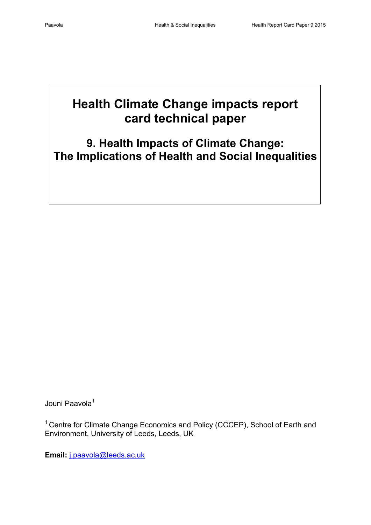# **Health Climate Change impacts report card technical paper**

**9. Health Impacts of Climate Change: The Implications of Health and Social Inequalities**

Jouni Paavola<sup>1</sup>

<sup>1</sup> Centre for Climate Change Economics and Policy (CCCEP), School of Earth and Environment, University of Leeds, Leeds, UK

**Email:** [j.paavola@leeds.ac.uk](mailto:j.paavola@leeds.ac.uk)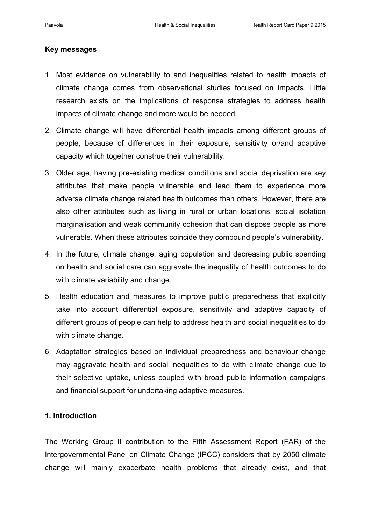#### **Key messages**

- 1. Most evidence on vulnerability to and inequalities related to health impacts of climate change comes from observational studies focused on impacts. Little research exists on the implications of response strategies to address health impacts of climate change and more would be needed.
- 2. Climate change will have differential health impacts among different groups of people, because of differences in their exposure, sensitivity or/and adaptive capacity which together construe their vulnerability.
- 3. Older age, having pre-existing medical conditions and social deprivation are key attributes that make people vulnerable and lead them to experience more adverse climate change related health outcomes than others. However, there are also other attributes such as living in rural or urban locations, social isolation marginalisation and weak community cohesion that can dispose people as more vulnerable. When these attributes coincide they compound people's vulnerability.
- 4. In the future, climate change, aging population and decreasing public spending on health and social care can aggravate the inequality of health outcomes to do with climate variability and change.
- 5. Health education and measures to improve public preparedness that explicitly take into account differential exposure, sensitivity and adaptive capacity of different groups of people can help to address health and social inequalities to do with climate change.
- 6. Adaptation strategies based on individual preparedness and behaviour change may aggravate health and social inequalities to do with climate change due to their selective uptake, unless coupled with broad public information campaigns and financial support for undertaking adaptive measures.

# **1. Introduction**

The Working Group II contribution to the Fifth Assessment Report (FAR) of the Intergovernmental Panel on Climate Change (IPCC) considers that by 2050 climate change will mainly exacerbate health problems that already exist, and that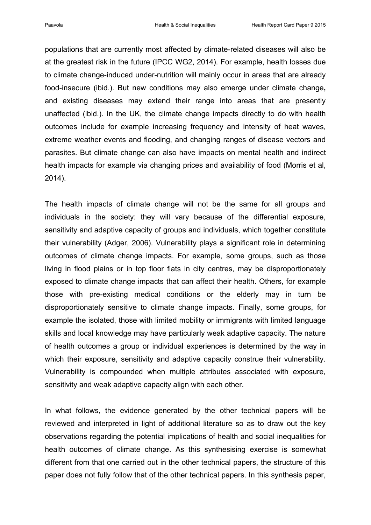populations that are currently most affected by climate-related diseases will also be at the greatest risk in the future (IPCC WG2, 2014). For example, health losses due to climate change-induced under-nutrition will mainly occur in areas that are already food-insecure (ibid.). But new conditions may also emerge under climate change**,**  and existing diseases may extend their range into areas that are presently unaffected (ibid.). In the UK, the climate change impacts directly to do with health outcomes include for example increasing frequency and intensity of heat waves, extreme weather events and flooding, and changing ranges of disease vectors and parasites. But climate change can also have impacts on mental health and indirect health impacts for example via changing prices and availability of food (Morris et al, 2014).

The health impacts of climate change will not be the same for all groups and individuals in the society: they will vary because of the differential exposure, sensitivity and adaptive capacity of groups and individuals, which together constitute their vulnerability (Adger, 2006). Vulnerability plays a significant role in determining outcomes of climate change impacts. For example, some groups, such as those living in flood plains or in top floor flats in city centres, may be disproportionately exposed to climate change impacts that can affect their health. Others, for example those with pre-existing medical conditions or the elderly may in turn be disproportionately sensitive to climate change impacts. Finally, some groups, for example the isolated, those with limited mobility or immigrants with limited language skills and local knowledge may have particularly weak adaptive capacity. The nature of health outcomes a group or individual experiences is determined by the way in which their exposure, sensitivity and adaptive capacity construe their vulnerability. Vulnerability is compounded when multiple attributes associated with exposure, sensitivity and weak adaptive capacity align with each other.

In what follows, the evidence generated by the other technical papers will be reviewed and interpreted in light of additional literature so as to draw out the key observations regarding the potential implications of health and social inequalities for health outcomes of climate change. As this synthesising exercise is somewhat different from that one carried out in the other technical papers, the structure of this paper does not fully follow that of the other technical papers. In this synthesis paper,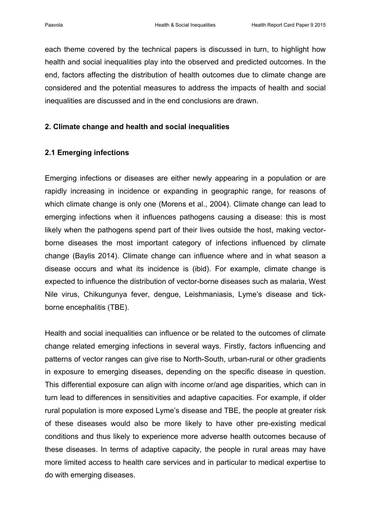each theme covered by the technical papers is discussed in turn, to highlight how health and social inequalities play into the observed and predicted outcomes. In the end, factors affecting the distribution of health outcomes due to climate change are considered and the potential measures to address the impacts of health and social inequalities are discussed and in the end conclusions are drawn.

# **2. Climate change and health and social inequalities**

# **2.1 Emerging infections**

Emerging infections or diseases are either newly appearing in a population or are rapidly increasing in incidence or expanding in geographic range, for reasons of which climate change is only one (Morens et al., 2004). Climate change can lead to emerging infections when it influences pathogens causing a disease: this is most likely when the pathogens spend part of their lives outside the host, making vectorborne diseases the most important category of infections influenced by climate change (Baylis 2014). Climate change can influence where and in what season a disease occurs and what its incidence is (ibid). For example, climate change is expected to influence the distribution of vector-borne diseases such as malaria, West Nile virus, Chikungunya fever, dengue, Leishmaniasis, Lyme's disease and tickborne encephalitis (TBE).

Health and social inequalities can influence or be related to the outcomes of climate change related emerging infections in several ways. Firstly, factors influencing and patterns of vector ranges can give rise to North-South, urban-rural or other gradients in exposure to emerging diseases, depending on the specific disease in question. This differential exposure can align with income or/and age disparities, which can in turn lead to differences in sensitivities and adaptive capacities. For example, if older rural population is more exposed Lyme's disease and TBE, the people at greater risk of these diseases would also be more likely to have other pre-existing medical conditions and thus likely to experience more adverse health outcomes because of these diseases. In terms of adaptive capacity, the people in rural areas may have more limited access to health care services and in particular to medical expertise to do with emerging diseases.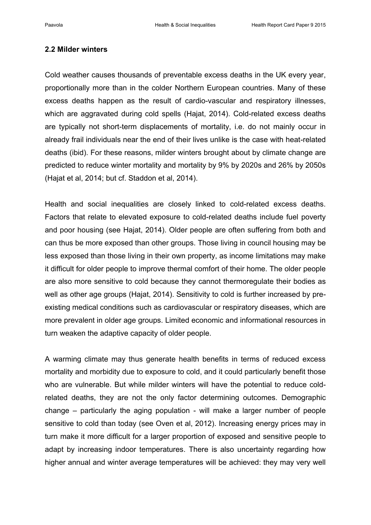#### **2.2 Milder winters**

Cold weather causes thousands of preventable excess deaths in the UK every year, proportionally more than in the colder Northern European countries. Many of these excess deaths happen as the result of cardio-vascular and respiratory illnesses, which are aggravated during cold spells (Hajat, 2014). Cold-related excess deaths are typically not short-term displacements of mortality, i.e. do not mainly occur in already frail individuals near the end of their lives unlike is the case with heat-related deaths (ibid). For these reasons, milder winters brought about by climate change are predicted to reduce winter mortality and mortality by 9% by 2020s and 26% by 2050s (Hajat et al, 2014; but cf. Staddon et al, 2014).

Health and social inequalities are closely linked to cold-related excess deaths. Factors that relate to elevated exposure to cold-related deaths include fuel poverty and poor housing (see Hajat, 2014). Older people are often suffering from both and can thus be more exposed than other groups. Those living in council housing may be less exposed than those living in their own property, as income limitations may make it difficult for older people to improve thermal comfort of their home. The older people are also more sensitive to cold because they cannot thermoregulate their bodies as well as other age groups (Hajat, 2014). Sensitivity to cold is further increased by preexisting medical conditions such as cardiovascular or respiratory diseases, which are more prevalent in older age groups. Limited economic and informational resources in turn weaken the adaptive capacity of older people.

A warming climate may thus generate health benefits in terms of reduced excess mortality and morbidity due to exposure to cold, and it could particularly benefit those who are vulnerable. But while milder winters will have the potential to reduce coldrelated deaths, they are not the only factor determining outcomes. Demographic change – particularly the aging population - will make a larger number of people sensitive to cold than today (see Oven et al, 2012). Increasing energy prices may in turn make it more difficult for a larger proportion of exposed and sensitive people to adapt by increasing indoor temperatures. There is also uncertainty regarding how higher annual and winter average temperatures will be achieved: they may very well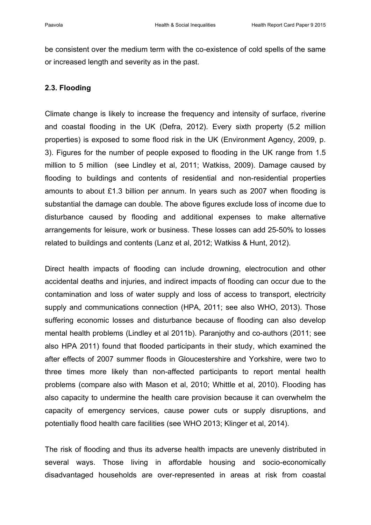be consistent over the medium term with the co-existence of cold spells of the same or increased length and severity as in the past.

# **2.3. Flooding**

Climate change is likely to increase the frequency and intensity of surface, riverine and coastal flooding in the UK (Defra, 2012). Every sixth property (5.2 million properties) is exposed to some flood risk in the UK (Environment Agency, 2009, p. 3). Figures for the number of people exposed to flooding in the UK range from 1.5 million to 5 million (see Lindley et al, 2011; Watkiss, 2009). Damage caused by flooding to buildings and contents of residential and non-residential properties amounts to about £1.3 billion per annum. In years such as 2007 when flooding is substantial the damage can double. The above figures exclude loss of income due to disturbance caused by flooding and additional expenses to make alternative arrangements for leisure, work or business. These losses can add 25-50% to losses related to buildings and contents (Lanz et al, 2012; Watkiss & Hunt, 2012).

Direct health impacts of flooding can include drowning, electrocution and other accidental deaths and injuries, and indirect impacts of flooding can occur due to the contamination and loss of water supply and loss of access to transport, electricity supply and communications connection (HPA, 2011; see also WHO, 2013). Those suffering economic losses and disturbance because of flooding can also develop mental health problems (Lindley et al 2011b). Paranjothy and co-authors (2011; see also HPA 2011) found that flooded participants in their study, which examined the after effects of 2007 summer floods in Gloucestershire and Yorkshire, were two to three times more likely than non-affected participants to report mental health problems (compare also with Mason et al, 2010; Whittle et al, 2010). Flooding has also capacity to undermine the health care provision because it can overwhelm the capacity of emergency services, cause power cuts or supply disruptions, and potentially flood health care facilities (see WHO 2013; Klinger et al, 2014).

The risk of flooding and thus its adverse health impacts are unevenly distributed in several ways. Those living in affordable housing and socio-economically disadvantaged households are over-represented in areas at risk from coastal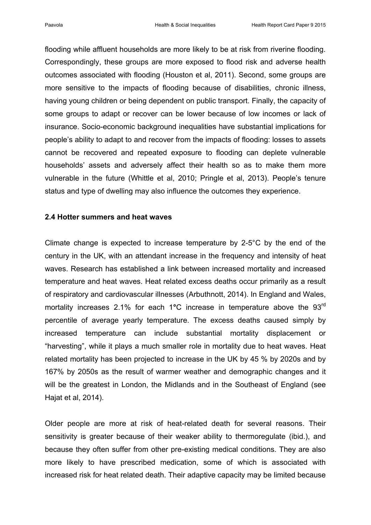flooding while affluent households are more likely to be at risk from riverine flooding. Correspondingly, these groups are more exposed to flood risk and adverse health outcomes associated with flooding (Houston et al, 2011). Second, some groups are more sensitive to the impacts of flooding because of disabilities, chronic illness, having young children or being dependent on public transport. Finally, the capacity of some groups to adapt or recover can be lower because of low incomes or lack of insurance. Socio-economic background inequalities have substantial implications for people's ability to adapt to and recover from the impacts of flooding: losses to assets cannot be recovered and repeated exposure to flooding can deplete vulnerable households' assets and adversely affect their health so as to make them more vulnerable in the future (Whittle et al, 2010; Pringle et al, 2013). People's tenure status and type of dwelling may also influence the outcomes they experience.

#### **2.4 Hotter summers and heat waves**

Climate change is expected to increase temperature by 2-5°C by the end of the century in the UK, with an attendant increase in the frequency and intensity of heat waves. Research has established a link between increased mortality and increased temperature and heat waves. Heat related excess deaths occur primarily as a result of respiratory and cardiovascular illnesses (Arbuthnott, 2014). In England and Wales, mortality increases 2.1% for each 1**°**C increase in temperature above the 93rd percentile of average yearly temperature. The excess deaths caused simply by increased temperature can include substantial mortality displacement or "harvesting", while it plays a much smaller role in mortality due to heat waves. Heat related mortality has been projected to increase in the UK by 45 % by 2020s and by 167% by 2050s as the result of warmer weather and demographic changes and it will be the greatest in London, the Midlands and in the Southeast of England (see Hajat et al, 2014).

Older people are more at risk of heat-related death for several reasons. Their sensitivity is greater because of their weaker ability to thermoregulate (ibid.), and because they often suffer from other pre-existing medical conditions. They are also more likely to have prescribed medication, some of which is associated with increased risk for heat related death. Their adaptive capacity may be limited because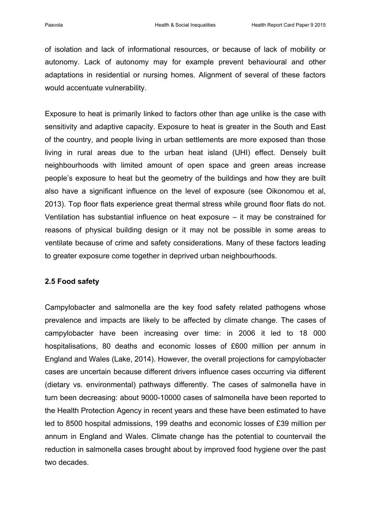of isolation and lack of informational resources, or because of lack of mobility or autonomy. Lack of autonomy may for example prevent behavioural and other adaptations in residential or nursing homes. Alignment of several of these factors would accentuate vulnerability.

Exposure to heat is primarily linked to factors other than age unlike is the case with sensitivity and adaptive capacity. Exposure to heat is greater in the South and East of the country, and people living in urban settlements are more exposed than those living in rural areas due to the urban heat island (UHI) effect. Densely built neighbourhoods with limited amount of open space and green areas increase people's exposure to heat but the geometry of the buildings and how they are built also have a significant influence on the level of exposure (see Oikonomou et al, 2013). Top floor flats experience great thermal stress while ground floor flats do not. Ventilation has substantial influence on heat exposure – it may be constrained for reasons of physical building design or it may not be possible in some areas to ventilate because of crime and safety considerations. Many of these factors leading to greater exposure come together in deprived urban neighbourhoods.

# **2.5 Food safety**

Campylobacter and salmonella are the key food safety related pathogens whose prevalence and impacts are likely to be affected by climate change. The cases of campylobacter have been increasing over time: in 2006 it led to 18 000 hospitalisations, 80 deaths and economic losses of £600 million per annum in England and Wales (Lake, 2014). However, the overall projections for campylobacter cases are uncertain because different drivers influence cases occurring via different (dietary vs. environmental) pathways differently. The cases of salmonella have in turn been decreasing: about 9000-10000 cases of salmonella have been reported to the Health Protection Agency in recent years and these have been estimated to have led to 8500 hospital admissions, 199 deaths and economic losses of £39 million per annum in England and Wales. Climate change has the potential to countervail the reduction in salmonella cases brought about by improved food hygiene over the past two decades.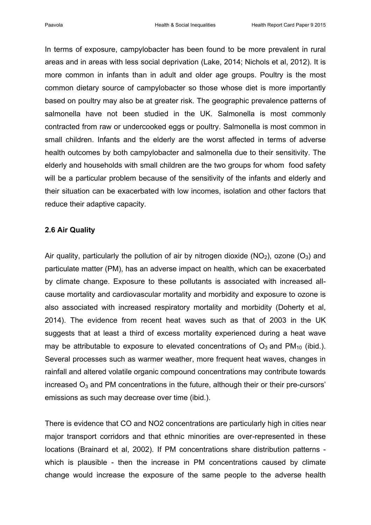In terms of exposure, campylobacter has been found to be more prevalent in rural areas and in areas with less social deprivation (Lake, 2014; Nichols et al, 2012). It is more common in infants than in adult and older age groups. Poultry is the most common dietary source of campylobacter so those whose diet is more importantly based on poultry may also be at greater risk. The geographic prevalence patterns of salmonella have not been studied in the UK. Salmonella is most commonly contracted from raw or undercooked eggs or poultry. Salmonella is most common in small children. Infants and the elderly are the worst affected in terms of adverse health outcomes by both campylobacter and salmonella due to their sensitivity. The elderly and households with small children are the two groups for whom food safety will be a particular problem because of the sensitivity of the infants and elderly and their situation can be exacerbated with low incomes, isolation and other factors that reduce their adaptive capacity.

#### **2.6 Air Quality**

Air quality, particularly the pollution of air by nitrogen dioxide ( $NO<sub>2</sub>$ ), ozone ( $O<sub>3</sub>$ ) and particulate matter (PM), has an adverse impact on health, which can be exacerbated by climate change. Exposure to these pollutants is associated with increased allcause mortality and cardiovascular mortality and morbidity and exposure to ozone is also associated with increased respiratory mortality and morbidity (Doherty et al, 2014). The evidence from recent heat waves such as that of 2003 in the UK suggests that at least a third of excess mortality experienced during a heat wave may be attributable to exposure to elevated concentrations of  $O_3$  and  $PM_{10}$  (ibid.). Several processes such as warmer weather, more frequent heat waves, changes in rainfall and altered volatile organic compound concentrations may contribute towards increased  $O_3$  and PM concentrations in the future, although their or their pre-cursors' emissions as such may decrease over time (ibid.).

There is evidence that CO and NO2 concentrations are particularly high in cities near major transport corridors and that ethnic minorities are over-represented in these locations (Brainard et al, 2002). If PM concentrations share distribution patterns which is plausible - then the increase in PM concentrations caused by climate change would increase the exposure of the same people to the adverse health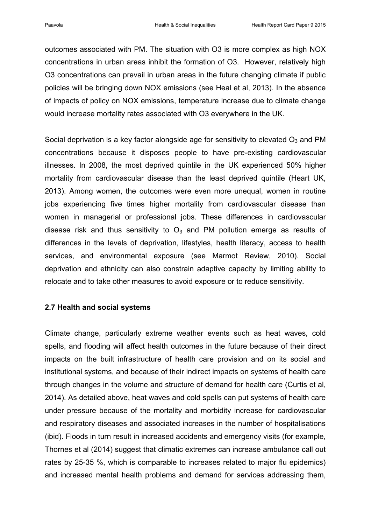outcomes associated with PM. The situation with O3 is more complex as high NOX concentrations in urban areas inhibit the formation of O3. However, relatively high O3 concentrations can prevail in urban areas in the future changing climate if public policies will be bringing down NOX emissions (see Heal et al, 2013). In the absence of impacts of policy on NOX emissions, temperature increase due to climate change would increase mortality rates associated with O3 everywhere in the UK.

Social deprivation is a key factor alongside age for sensitivity to elevated  $O_3$  and PM concentrations because it disposes people to have pre-existing cardiovascular illnesses. In 2008, the most deprived quintile in the UK experienced 50% higher mortality from cardiovascular disease than the least deprived quintile (Heart UK, 2013). Among women, the outcomes were even more unequal, women in routine jobs experiencing five times higher mortality from cardiovascular disease than women in managerial or professional jobs. These differences in cardiovascular disease risk and thus sensitivity to  $O_3$  and PM pollution emerge as results of differences in the levels of deprivation, lifestyles, health literacy, access to health services, and environmental exposure (see Marmot Review, 2010). Social deprivation and ethnicity can also constrain adaptive capacity by limiting ability to relocate and to take other measures to avoid exposure or to reduce sensitivity.

# **2.7 Health and social systems**

Climate change, particularly extreme weather events such as heat waves, cold spells, and flooding will affect health outcomes in the future because of their direct impacts on the built infrastructure of health care provision and on its social and institutional systems, and because of their indirect impacts on systems of health care through changes in the volume and structure of demand for health care (Curtis et al, 2014). As detailed above, heat waves and cold spells can put systems of health care under pressure because of the mortality and morbidity increase for cardiovascular and respiratory diseases and associated increases in the number of hospitalisations (ibid). Floods in turn result in increased accidents and emergency visits (for example, Thornes et al (2014) suggest that climatic extremes can increase ambulance call out rates by 25-35 %, which is comparable to increases related to major flu epidemics) and increased mental health problems and demand for services addressing them,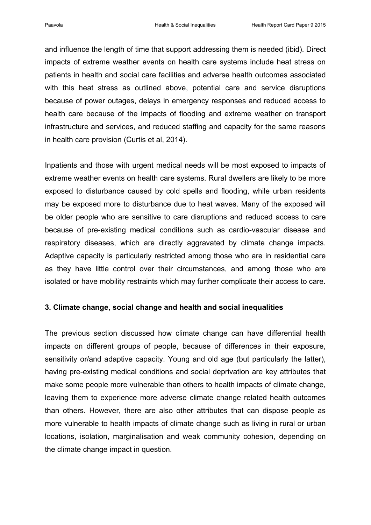and influence the length of time that support addressing them is needed (ibid). Direct impacts of extreme weather events on health care systems include heat stress on patients in health and social care facilities and adverse health outcomes associated with this heat stress as outlined above, potential care and service disruptions because of power outages, delays in emergency responses and reduced access to health care because of the impacts of flooding and extreme weather on transport infrastructure and services, and reduced staffing and capacity for the same reasons in health care provision (Curtis et al, 2014).

Inpatients and those with urgent medical needs will be most exposed to impacts of extreme weather events on health care systems. Rural dwellers are likely to be more exposed to disturbance caused by cold spells and flooding, while urban residents may be exposed more to disturbance due to heat waves. Many of the exposed will be older people who are sensitive to care disruptions and reduced access to care because of pre-existing medical conditions such as cardio-vascular disease and respiratory diseases, which are directly aggravated by climate change impacts. Adaptive capacity is particularly restricted among those who are in residential care as they have little control over their circumstances, and among those who are isolated or have mobility restraints which may further complicate their access to care.

#### **3. Climate change, social change and health and social inequalities**

The previous section discussed how climate change can have differential health impacts on different groups of people, because of differences in their exposure, sensitivity or/and adaptive capacity. Young and old age (but particularly the latter), having pre-existing medical conditions and social deprivation are key attributes that make some people more vulnerable than others to health impacts of climate change, leaving them to experience more adverse climate change related health outcomes than others. However, there are also other attributes that can dispose people as more vulnerable to health impacts of climate change such as living in rural or urban locations, isolation, marginalisation and weak community cohesion, depending on the climate change impact in question.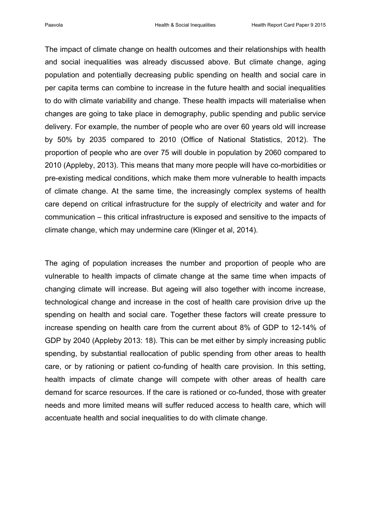The impact of climate change on health outcomes and their relationships with health and social inequalities was already discussed above. But climate change, aging population and potentially decreasing public spending on health and social care in per capita terms can combine to increase in the future health and social inequalities to do with climate variability and change. These health impacts will materialise when changes are going to take place in demography, public spending and public service delivery. For example, the number of people who are over 60 years old will increase by 50% by 2035 compared to 2010 (Office of National Statistics, 2012). The proportion of people who are over 75 will double in population by 2060 compared to 2010 (Appleby, 2013). This means that many more people will have co-morbidities or pre-existing medical conditions, which make them more vulnerable to health impacts of climate change. At the same time, the increasingly complex systems of health care depend on critical infrastructure for the supply of electricity and water and for communication – this critical infrastructure is exposed and sensitive to the impacts of climate change, which may undermine care (Klinger et al, 2014).

The aging of population increases the number and proportion of people who are vulnerable to health impacts of climate change at the same time when impacts of changing climate will increase. But ageing will also together with income increase, technological change and increase in the cost of health care provision drive up the spending on health and social care. Together these factors will create pressure to increase spending on health care from the current about 8% of GDP to 12-14% of GDP by 2040 (Appleby 2013: 18). This can be met either by simply increasing public spending, by substantial reallocation of public spending from other areas to health care, or by rationing or patient co-funding of health care provision. In this setting, health impacts of climate change will compete with other areas of health care demand for scarce resources. If the care is rationed or co-funded, those with greater needs and more limited means will suffer reduced access to health care, which will accentuate health and social inequalities to do with climate change.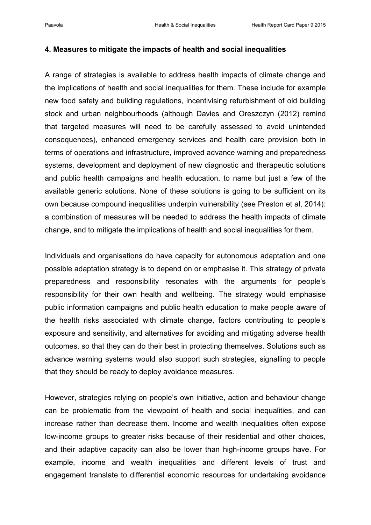#### **4. Measures to mitigate the impacts of health and social inequalities**

A range of strategies is available to address health impacts of climate change and the implications of health and social inequalities for them. These include for example new food safety and building regulations, incentivising refurbishment of old building stock and urban neighbourhoods (although Davies and Oreszczyn (2012) remind that targeted measures will need to be carefully assessed to avoid unintended consequences), enhanced emergency services and health care provision both in terms of operations and infrastructure, improved advance warning and preparedness systems, development and deployment of new diagnostic and therapeutic solutions and public health campaigns and health education, to name but just a few of the available generic solutions. None of these solutions is going to be sufficient on its own because compound inequalities underpin vulnerability (see Preston et al, 2014): a combination of measures will be needed to address the health impacts of climate change, and to mitigate the implications of health and social inequalities for them.

Individuals and organisations do have capacity for autonomous adaptation and one possible adaptation strategy is to depend on or emphasise it. This strategy of private preparedness and responsibility resonates with the arguments for people's responsibility for their own health and wellbeing. The strategy would emphasise public information campaigns and public health education to make people aware of the health risks associated with climate change, factors contributing to people's exposure and sensitivity, and alternatives for avoiding and mitigating adverse health outcomes, so that they can do their best in protecting themselves. Solutions such as advance warning systems would also support such strategies, signalling to people that they should be ready to deploy avoidance measures.

However, strategies relying on people's own initiative, action and behaviour change can be problematic from the viewpoint of health and social inequalities, and can increase rather than decrease them. Income and wealth inequalities often expose low-income groups to greater risks because of their residential and other choices, and their adaptive capacity can also be lower than high-income groups have. For example, income and wealth inequalities and different levels of trust and engagement translate to differential economic resources for undertaking avoidance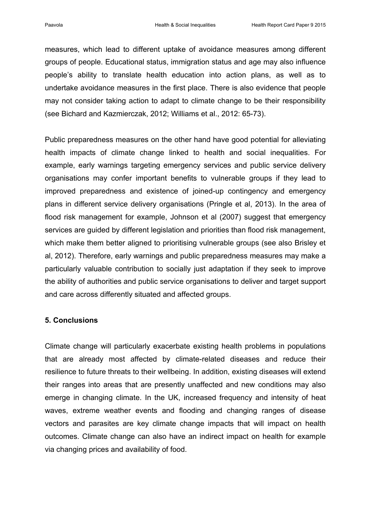measures, which lead to different uptake of avoidance measures among different groups of people. Educational status, immigration status and age may also influence people's ability to translate health education into action plans, as well as to undertake avoidance measures in the first place. There is also evidence that people may not consider taking action to adapt to climate change to be their responsibility (see Bichard and Kazmierczak, 2012; Williams et al., 2012: 65-73).

Public preparedness measures on the other hand have good potential for alleviating health impacts of climate change linked to health and social inequalities. For example, early warnings targeting emergency services and public service delivery organisations may confer important benefits to vulnerable groups if they lead to improved preparedness and existence of joined-up contingency and emergency plans in different service delivery organisations (Pringle et al, 2013). In the area of flood risk management for example, Johnson et al (2007) suggest that emergency services are guided by different legislation and priorities than flood risk management, which make them better aligned to prioritising vulnerable groups (see also Brisley et al, 2012). Therefore, early warnings and public preparedness measures may make a particularly valuable contribution to socially just adaptation if they seek to improve the ability of authorities and public service organisations to deliver and target support and care across differently situated and affected groups.

#### **5. Conclusions**

Climate change will particularly exacerbate existing health problems in populations that are already most affected by climate-related diseases and reduce their resilience to future threats to their wellbeing. In addition, existing diseases will extend their ranges into areas that are presently unaffected and new conditions may also emerge in changing climate. In the UK, increased frequency and intensity of heat waves, extreme weather events and flooding and changing ranges of disease vectors and parasites are key climate change impacts that will impact on health outcomes. Climate change can also have an indirect impact on health for example via changing prices and availability of food.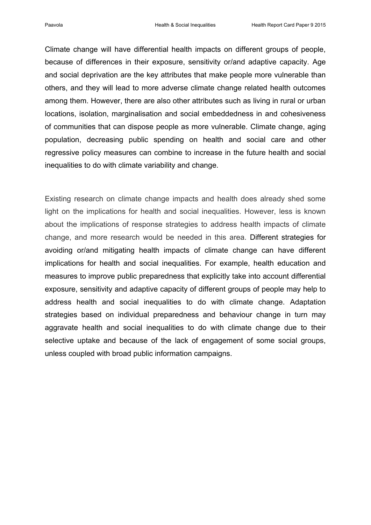Climate change will have differential health impacts on different groups of people, because of differences in their exposure, sensitivity or/and adaptive capacity. Age and social deprivation are the key attributes that make people more vulnerable than others, and they will lead to more adverse climate change related health outcomes among them. However, there are also other attributes such as living in rural or urban locations, isolation, marginalisation and social embeddedness in and cohesiveness of communities that can dispose people as more vulnerable. Climate change, aging population, decreasing public spending on health and social care and other regressive policy measures can combine to increase in the future health and social inequalities to do with climate variability and change.

Existing research on climate change impacts and health does already shed some light on the implications for health and social inequalities. However, less is known about the implications of response strategies to address health impacts of climate change, and more research would be needed in this area. Different strategies for avoiding or/and mitigating health impacts of climate change can have different implications for health and social inequalities. For example, health education and measures to improve public preparedness that explicitly take into account differential exposure, sensitivity and adaptive capacity of different groups of people may help to address health and social inequalities to do with climate change. Adaptation strategies based on individual preparedness and behaviour change in turn may aggravate health and social inequalities to do with climate change due to their selective uptake and because of the lack of engagement of some social groups, unless coupled with broad public information campaigns.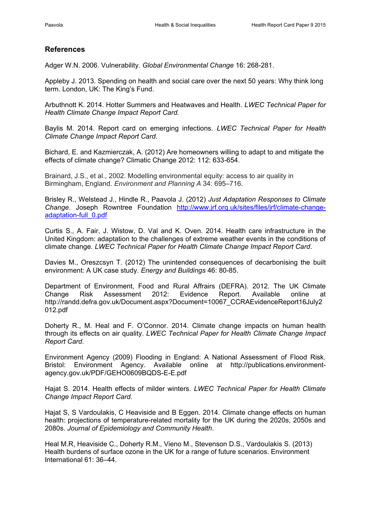#### **References**

Adger W.N. 2006. Vulnerability. *Global Environmental Change* 16: 268-281.

Appleby J. 2013. Spending on health and social care over the next 50 years: Why think long term. London, UK: The King's Fund.

Arbuthnott K. 2014. Hotter Summers and Heatwaves and Health. *LWEC Technical Paper for Health Climate Change Impact Report Card.*

Baylis M. 2014. Report card on emerging infections. *LWEC Technical Paper for Health Climate Change Impact Report Card.*

Bichard, E. and Kazmierczak, A. (2012) Are homeowners willing to adapt to and mitigate the effects of climate change? Climatic Change 2012: 112: 633-654.

Brainard, J.S., et al., 2002. Modelling environmental equity: access to air quality in Birmingham, England. *Environment and Planning A* 34: 695–716.

Brisley R., Welstead J., Hindle R., Paavola J. (2012) *Just Adaptation Responses to Climate Change*. Joseph Rowntree Foundation [http://www.jrf.org.uk/sites/files/jrf/climate-change](http://www.jrf.org.uk/sites/files/jrf/climate-change-adaptation-full_0.pdf)[adaptation-full\\_0.pdf](http://www.jrf.org.uk/sites/files/jrf/climate-change-adaptation-full_0.pdf)

Curtis S., A. Fair, J. Wistow, D. Val and K. Oven. 2014. Health care infrastructure in the United Kingdom: adaptation to the challenges of extreme weather events in the conditions of climate change. *LWEC Technical Paper for Health Climate Change Impact Report Card*.

Davies M., Oreszcsyn T. (2012) The unintended consequences of decarbonising the built environment: A UK case study. *Energy and Buildings* 46: 80-85.

Department of Environment, Food and Rural Affrairs (DEFRA). 2012. The UK Climate Change Risk Assessment 2012: Evidence Report. Available online at http://randd.defra.gov.uk/Document.aspx?Document=10067\_CCRAEvidenceReport16July2 012.pdf

Doherty R., M. Heal and F. O'Connor. 2014. Climate change impacts on human health through its effects on air quality. *LWEC Technical Paper for Health Climate Change Impact Report Card.*

Environment Agency (2009) Flooding in England: A National Assessment of Flood Risk. Bristol: Environment Agency. Available online at http://publications.environmentagency.gov.uk/PDF/GEHO0609BQDS-E-E.pdf

Hajat S. 2014. Health effects of milder winters. *LWEC Technical Paper for Health Climate Change Impact Report Card.*

Hajat S, S Vardoulakis, C Heaviside and B Eggen. 2014. Climate change effects on human health: projections of temperature-related mortality for the UK during the 2020s, 2050s and 2080s. *Journal of Epidemiology and Community Health*.

Heal M.R, Heaviside C., Doherty R.M., Vieno M., Stevenson D.S., Vardoulakis S. (2013) Health burdens of surface ozone in the UK for a range of future scenarios. Environment International 61: 36–44.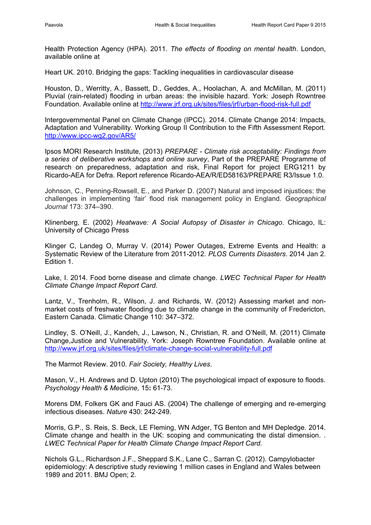Health Protection Agency (HPA). 2011. *The effects of flooding on mental health*. London, available online at

Heart UK. 2010. Bridging the gaps: Tackling inequalities in cardiovascular disease

Houston, D., Werritty, A., Bassett, D., Geddes, A., Hoolachan, A. and McMillan, M. (2011) Pluvial (rain-related) flooding in urban areas: the invisible hazard. York: Joseph Rowntree Foundation. Available online at<http://www.jrf.org.uk/sites/files/jrf/urban-flood-risk-full.pdf>

Intergovernmental Panel on Climate Change (IPCC). 2014. Climate Change 2014: Impacts, Adaptation and Vulnerability. Working Group II Contribution to the Fifth Assessment Report. <http://www.ipcc-wg2.gov/AR5/>

Ipsos MORI Research Institute, (2013) *PREPARE - Climate risk acceptability: Findings from a series of deliberative workshops and online survey*, Part of the PREPARE Programme of research on preparedness, adaptation and risk, Final Report for project ERG1211 by Ricardo-AEA for Defra. Report reference Ricardo-AEA/R/ED58163/PREPARE R3/Issue 1.0.

Johnson, C., Penning-Rowsell, E., and Parker D. (2007) Natural and imposed injustices: the challenges in implementing 'fair' flood risk management policy in England. *Geographical Journal* 173: 374–390.

Klinenberg, E. (2002) *Heatwave: A Social Autopsy of Disaster in Chicago*. Chicago, IL: University of Chicago Press

Klinger C, Landeg O, Murray V. (2014) Power Outages, Extreme Events and Health: a Systematic Review of the Literature from 2011-2012. *PLOS Currents Disasters*. 2014 Jan 2. Edition 1.

Lake, I. 2014. Food borne disease and climate change. *LWEC Technical Paper for Health Climate Change Impact Report Card.*

Lantz, V., Trenholm, R., Wilson, J. and Richards, W. (2012) Assessing market and nonmarket costs of freshwater flooding due to climate change in the community of Fredericton, Eastern Canada. Climatic Change 110: 347–372.

Lindley, S. O'Neill, J., Kandeh, J., Lawson, N., Christian, R. and O'Neill, M. (2011) Climate Change,Justice and Vulnerability. York: Joseph Rowntree Foundation. Available online at <http://www.jrf.org.uk/sites/files/jrf/climate-change-social-vulnerability-full.pdf>

The Marmot Review. 2010. *Fair Society, Healthy Lives*.

Mason, V., H. Andrews and D. Upton (2010) The psychological impact of exposure to floods. *Psychology Health & Medicine,* 15**:** 61-73.

Morens DM, Folkers GK and Fauci AS. (2004) The challenge of emerging and re-emerging infectious diseases. *Nature* 430: 242-249.

Morris, G.P., S. Reis, S. Beck, LE Fleming, WN Adger, TG Benton and MH Depledge. 2014. Climate change and health in the UK: scoping and communicating the distal dimension. . *LWEC Technical Paper for Health Climate Change Impact Report Card.*

Nichols G.L., Richardson J.F., Sheppard S.K., Lane C., Sarran C. (2012). Campylobacter epidemiology: A descriptive study reviewing 1 million cases in England and Wales between 1989 and 2011. BMJ Open; 2.